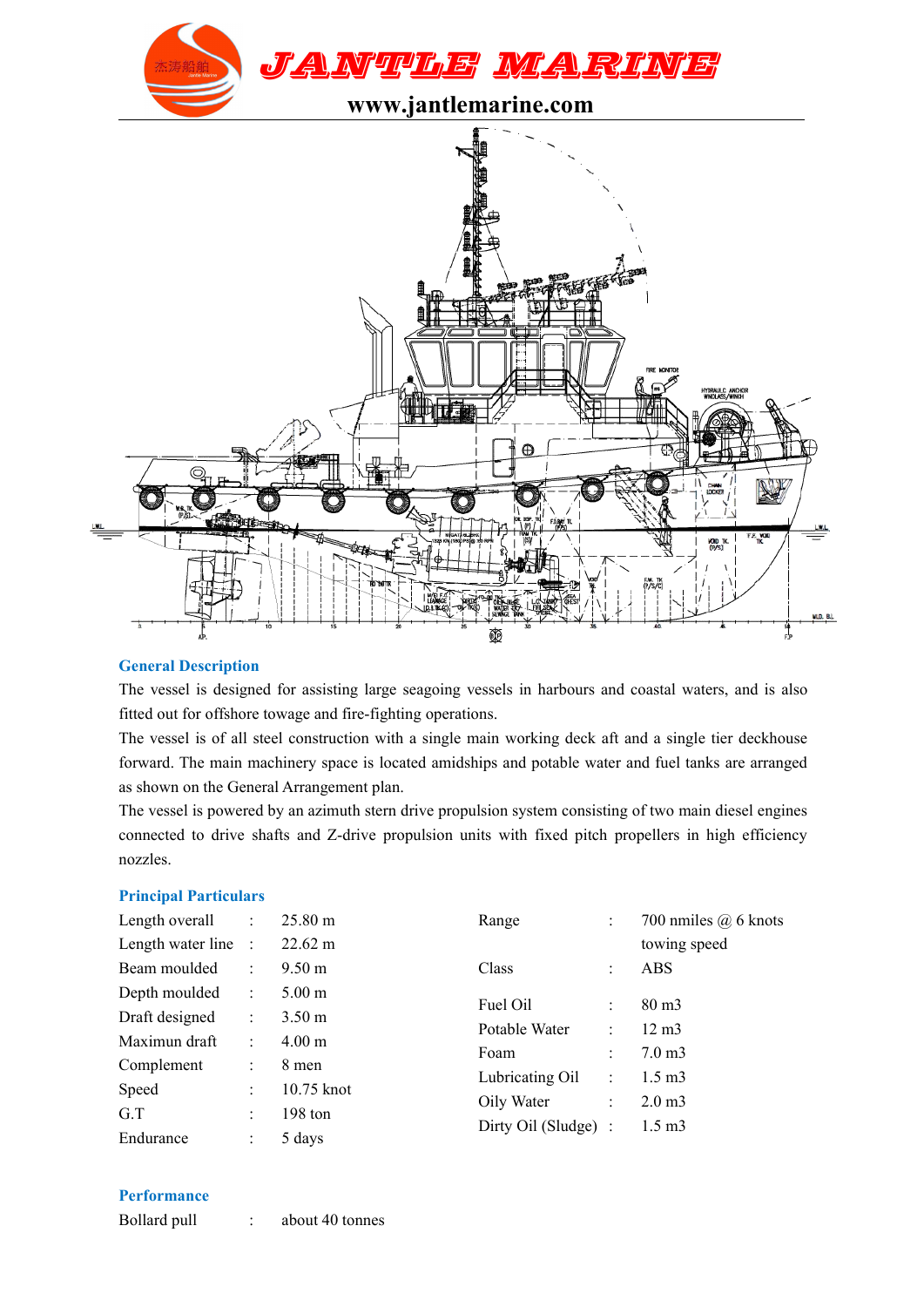



### **General Description**

The vessel is designed for assisting large seagoing vessels in harbours and coastal waters, and is also fitted out for offshore towage and fire-fighting operations.

The vessel is of all steel construction with a single main working deck aft and a single tier deckhouse forward. The main machinery space is located amidships and potable water and fuel tanks are arranged as shown on the General Arrangement plan.

The vessel is powered by an azimuth stern drive propulsion system consisting of two main diesel engines connected to drive shafts and Z-drive propulsion units with fixed pitch propellers in high efficiency nozzles.

#### **Principal Particulars**

| Length overall      | $\mathbb{R}^n$ | $25.80 \text{ m}$ | Range                |   | 700 nmiles $(a)$ 6 knots |
|---------------------|----------------|-------------------|----------------------|---|--------------------------|
| Length water line : |                | $22.62 \text{ m}$ |                      |   | towing speed             |
| Beam moulded        | $\mathbb{R}^n$ | $9.50 \text{ m}$  | Class                |   | <b>ABS</b>               |
| Depth moulded       | $\mathbb{R}^n$ | $5.00 \text{ m}$  | Fuel Oil             |   | $80 \text{ m}$           |
| Draft designed      | ÷.             | 3.50 <sub>m</sub> |                      | ÷ |                          |
| Maximun draft       | ÷.             | $4.00 \text{ m}$  | Potable Water        |   | $12 \text{ m}$           |
| Complement          | ÷.             | 8 men             | Foam                 |   | $7.0 \text{ m}$ 3        |
| Speed               | $\bullet$      | 10.75 knot        | Lubricating Oil      | ÷ | $1.5 \text{ m}$ 3        |
| G.T                 | ÷              | 198 ton           | Oily Water           | ÷ | 2.0 <sub>m3</sub>        |
| Endurance           |                | 5 days            | Dirty Oil (Sludge) : |   | $1.5 \text{ m}$ 3        |

## **Performance**

Bollard pull : about 40 tonnes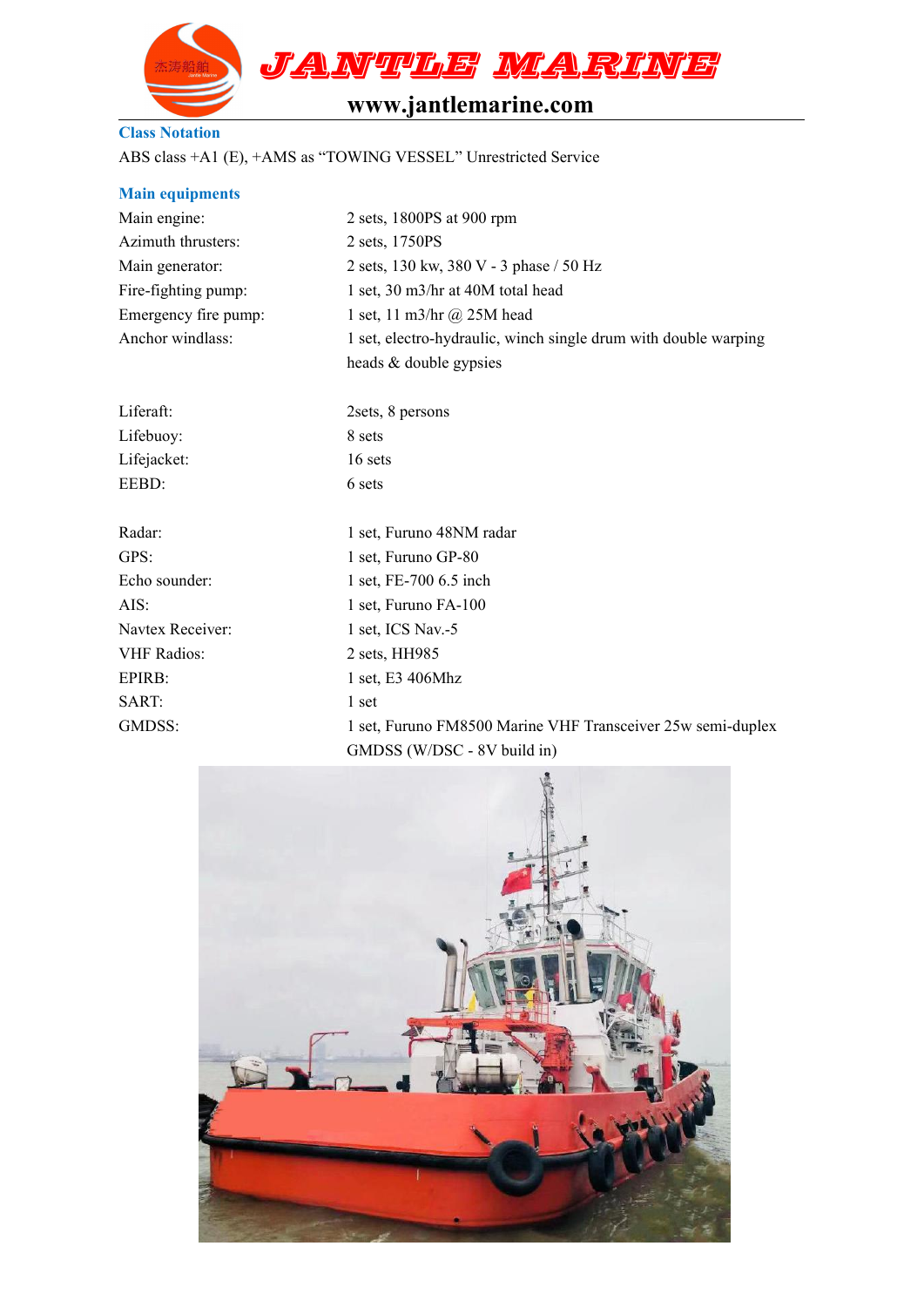

# **www.jantlemarine.com**

## **Class Notation**

ABS class +A1 (E), +AMS as "TOWING VESSEL" Unrestricted Service

| <b>Main equipments</b> |                                                                 |  |  |  |  |
|------------------------|-----------------------------------------------------------------|--|--|--|--|
| Main engine:           | 2 sets, 1800PS at 900 rpm                                       |  |  |  |  |
| Azimuth thrusters:     | 2 sets, 1750PS                                                  |  |  |  |  |
| Main generator:        | 2 sets, 130 kw, 380 V - 3 phase / 50 Hz                         |  |  |  |  |
| Fire-fighting pump:    | 1 set, 30 m3/hr at 40M total head                               |  |  |  |  |
| Emergency fire pump:   | 1 set, 11 m3/hr $(a)$ 25M head                                  |  |  |  |  |
| Anchor windlass:       | 1 set, electro-hydraulic, winch single drum with double warping |  |  |  |  |
|                        | heads & double gypsies                                          |  |  |  |  |
| Liferaft:              | 2sets, 8 persons                                                |  |  |  |  |
| Lifebuoy:              | 8 sets                                                          |  |  |  |  |
| Lifejacket:            | 16 sets                                                         |  |  |  |  |
| EEBD:                  | 6 sets                                                          |  |  |  |  |
| Radar:                 | 1 set, Furuno 48NM radar                                        |  |  |  |  |
| GPS:                   | 1 set, Furuno GP-80                                             |  |  |  |  |
| Echo sounder:          | 1 set, FE-700 6.5 inch                                          |  |  |  |  |
| AIS:                   | 1 set, Furuno FA-100                                            |  |  |  |  |
| Navtex Receiver:       | 1 set, ICS Nav.-5                                               |  |  |  |  |
| <b>VHF Radios:</b>     | 2 sets, HH985                                                   |  |  |  |  |
| EPIRB:                 | 1 set, E3 406Mhz                                                |  |  |  |  |
| SART:                  | 1 set                                                           |  |  |  |  |
| GMDSS:                 | 1 set, Furuno FM8500 Marine VHF Transceiver 25w semi-duplex     |  |  |  |  |
|                        | $CMDCC(W/DCC-QV $ build in                                      |  |  |  |  |